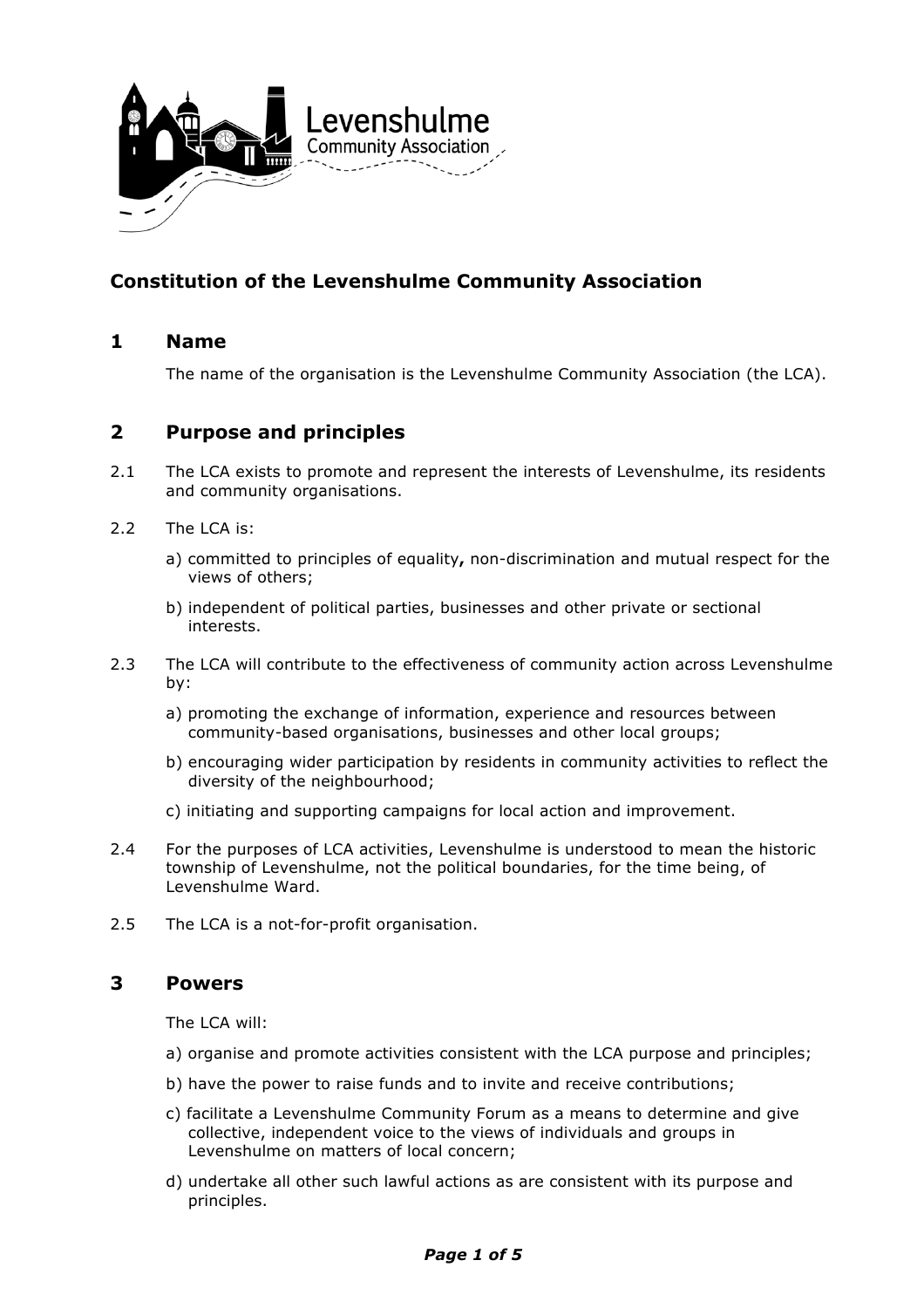

# **Constitution of the Levenshulme Community Association**

# **1 Name**

The name of the organisation is the Levenshulme Community Association (the LCA).

# **2 Purpose and principles**

- 2.1 The LCA exists to promote and represent the interests of Levenshulme, its residents and community organisations.
- 2.2 The LCA is:
	- a) committed to principles of equality**,** non-discrimination and mutual respect for the views of others;
	- b) independent of political parties, businesses and other private or sectional interests.
- 2.3 The LCA will contribute to the effectiveness of community action across Levenshulme by:
	- a) promoting the exchange of information, experience and resources between community-based organisations, businesses and other local groups;
	- b) encouraging wider participation by residents in community activities to reflect the diversity of the neighbourhood;
	- c) initiating and supporting campaigns for local action and improvement.
- 2.4 For the purposes of LCA activities, Levenshulme is understood to mean the historic township of Levenshulme, not the political boundaries, for the time being, of Levenshulme Ward.
- 2.5 The LCA is a not-for-profit organisation.

# **3 Powers**

The LCA will:

- a) organise and promote activities consistent with the LCA purpose and principles;
- b) have the power to raise funds and to invite and receive contributions;
- c) facilitate a Levenshulme Community Forum as a means to determine and give collective, independent voice to the views of individuals and groups in Levenshulme on matters of local concern;
- d) undertake all other such lawful actions as are consistent with its purpose and principles.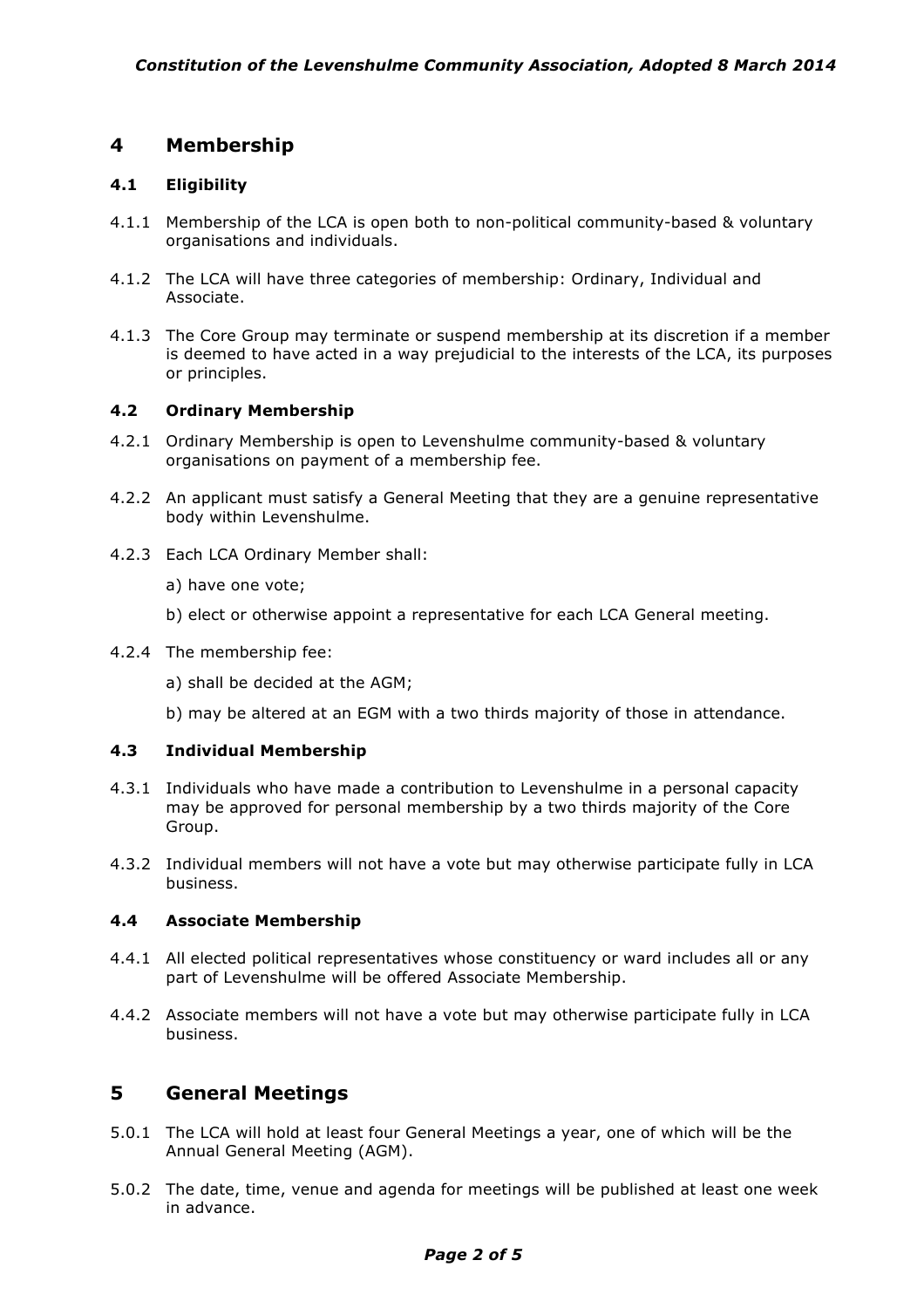# **4 Membership**

### **4.1 Eligibility**

- 4.1.1 Membership of the LCA is open both to non-political community-based & voluntary organisations and individuals.
- 4.1.2 The LCA will have three categories of membership: Ordinary, Individual and Associate.
- 4.1.3 The Core Group may terminate or suspend membership at its discretion if a member is deemed to have acted in a way prejudicial to the interests of the LCA, its purposes or principles.

#### **4.2 Ordinary Membership**

- 4.2.1 Ordinary Membership is open to Levenshulme community-based & voluntary organisations on payment of a membership fee.
- 4.2.2 An applicant must satisfy a General Meeting that they are a genuine representative body within Levenshulme.
- 4.2.3 Each LCA Ordinary Member shall:
	- a) have one vote;
	- b) elect or otherwise appoint a representative for each LCA General meeting.
- 4.2.4 The membership fee:
	- a) shall be decided at the AGM;
	- b) may be altered at an EGM with a two thirds majority of those in attendance.

### **4.3 Individual Membership**

- 4.3.1 Individuals who have made a contribution to Levenshulme in a personal capacity may be approved for personal membership by a two thirds majority of the Core Group.
- 4.3.2 Individual members will not have a vote but may otherwise participate fully in LCA business.

#### **4.4 Associate Membership**

- 4.4.1 All elected political representatives whose constituency or ward includes all or any part of Levenshulme will be offered Associate Membership.
- 4.4.2 Associate members will not have a vote but may otherwise participate fully in LCA business.

# **5 General Meetings**

- 5.0.1 The LCA will hold at least four General Meetings a year, one of which will be the Annual General Meeting (AGM).
- 5.0.2 The date, time, venue and agenda for meetings will be published at least one week in advance.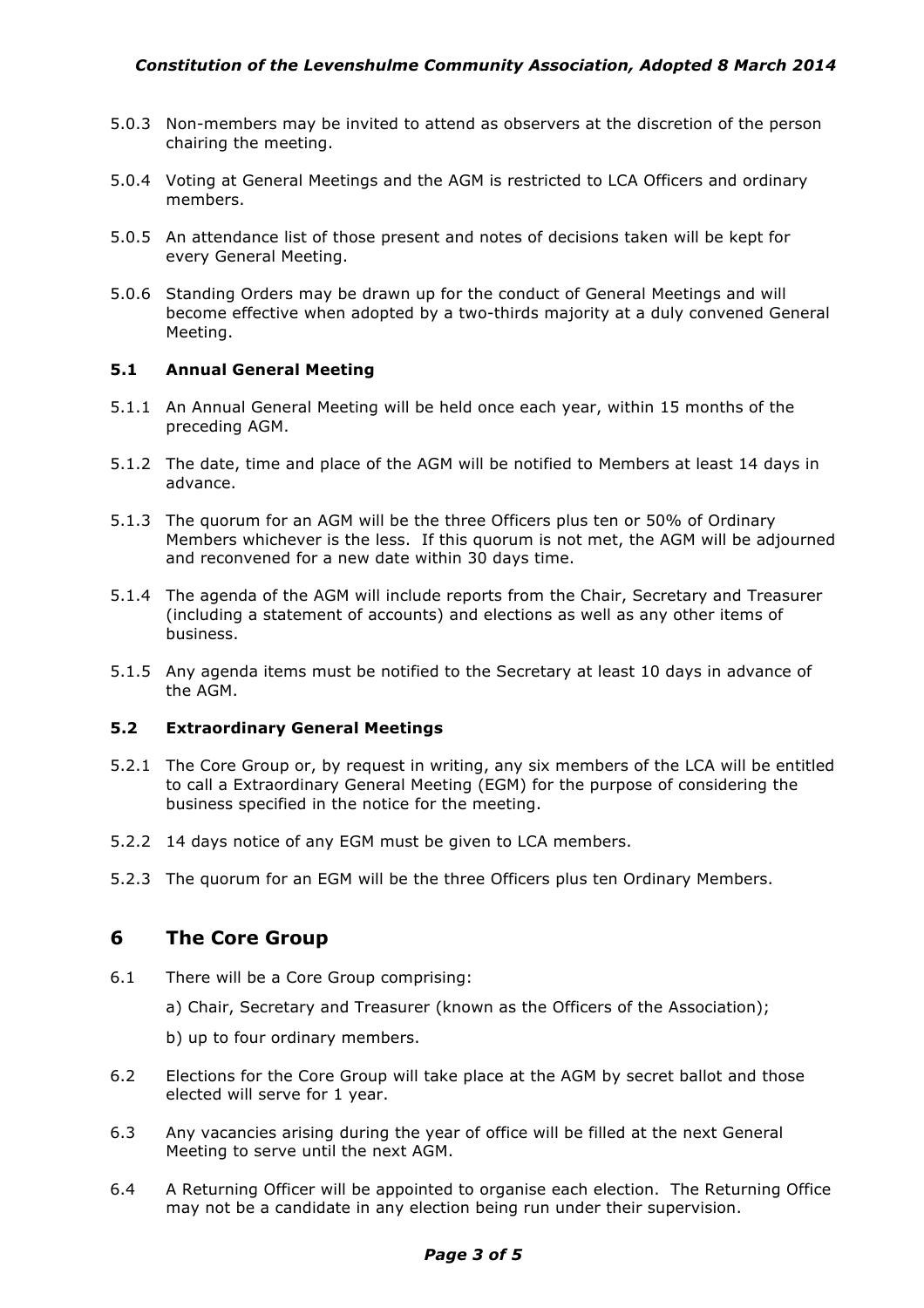- 5.0.3 Non-members may be invited to attend as observers at the discretion of the person chairing the meeting.
- 5.0.4 Voting at General Meetings and the AGM is restricted to LCA Officers and ordinary members.
- 5.0.5 An attendance list of those present and notes of decisions taken will be kept for every General Meeting.
- 5.0.6 Standing Orders may be drawn up for the conduct of General Meetings and will become effective when adopted by a two-thirds majority at a duly convened General Meeting.

#### **5.1 Annual General Meeting**

- 5.1.1 An Annual General Meeting will be held once each year, within 15 months of the preceding AGM.
- 5.1.2 The date, time and place of the AGM will be notified to Members at least 14 days in advance.
- 5.1.3 The quorum for an AGM will be the three Officers plus ten or 50% of Ordinary Members whichever is the less. If this quorum is not met, the AGM will be adjourned and reconvened for a new date within 30 days time.
- 5.1.4 The agenda of the AGM will include reports from the Chair, Secretary and Treasurer (including a statement of accounts) and elections as well as any other items of business.
- 5.1.5 Any agenda items must be notified to the Secretary at least 10 days in advance of the AGM.

#### **5.2 Extraordinary General Meetings**

- 5.2.1 The Core Group or, by request in writing, any six members of the LCA will be entitled to call a Extraordinary General Meeting (EGM) for the purpose of considering the business specified in the notice for the meeting.
- 5.2.2 14 days notice of any EGM must be given to LCA members.
- 5.2.3 The quorum for an EGM will be the three Officers plus ten Ordinary Members.

### **6 The Core Group**

- 6.1 There will be a Core Group comprising:
	- a) Chair, Secretary and Treasurer (known as the Officers of the Association);
	- b) up to four ordinary members.
- 6.2 Elections for the Core Group will take place at the AGM by secret ballot and those elected will serve for 1 year.
- 6.3 Any vacancies arising during the year of office will be filled at the next General Meeting to serve until the next AGM.
- 6.4 A Returning Officer will be appointed to organise each election. The Returning Office may not be a candidate in any election being run under their supervision.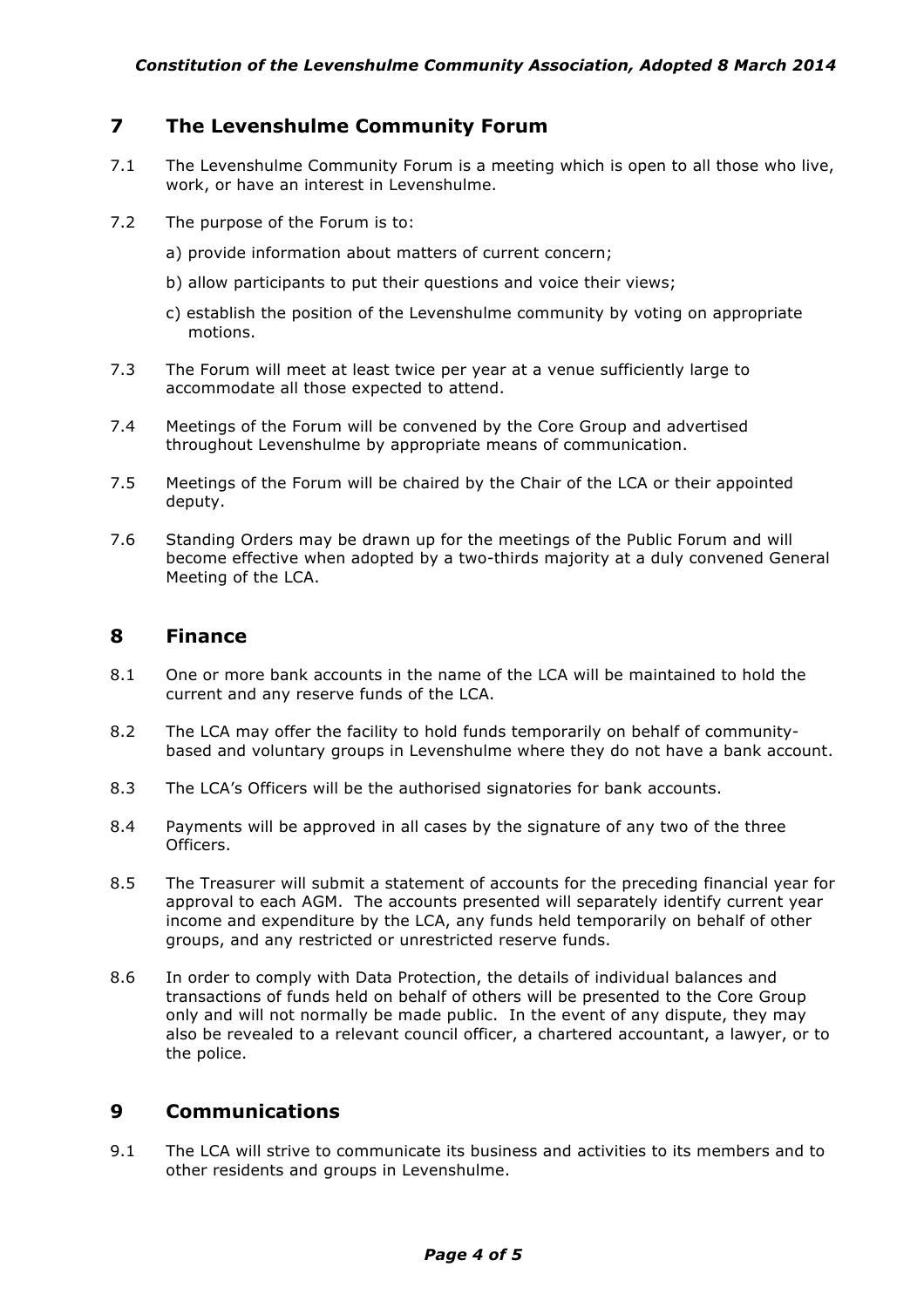## **7 The Levenshulme Community Forum**

- 7.1 The Levenshulme Community Forum is a meeting which is open to all those who live, work, or have an interest in Levenshulme.
- 7.2 The purpose of the Forum is to:
	- a) provide information about matters of current concern;
	- b) allow participants to put their questions and voice their views;
	- c) establish the position of the Levenshulme community by voting on appropriate motions.
- 7.3 The Forum will meet at least twice per year at a venue sufficiently large to accommodate all those expected to attend.
- 7.4 Meetings of the Forum will be convened by the Core Group and advertised throughout Levenshulme by appropriate means of communication.
- 7.5 Meetings of the Forum will be chaired by the Chair of the LCA or their appointed deputy.
- 7.6 Standing Orders may be drawn up for the meetings of the Public Forum and will become effective when adopted by a two-thirds majority at a duly convened General Meeting of the LCA.

## **8 Finance**

- 8.1 One or more bank accounts in the name of the LCA will be maintained to hold the current and any reserve funds of the LCA.
- 8.2 The LCA may offer the facility to hold funds temporarily on behalf of communitybased and voluntary groups in Levenshulme where they do not have a bank account.
- 8.3 The LCA's Officers will be the authorised signatories for bank accounts.
- 8.4 Payments will be approved in all cases by the signature of any two of the three Officers.
- 8.5 The Treasurer will submit a statement of accounts for the preceding financial year for approval to each AGM. The accounts presented will separately identify current year income and expenditure by the LCA, any funds held temporarily on behalf of other groups, and any restricted or unrestricted reserve funds.
- 8.6 In order to comply with Data Protection, the details of individual balances and transactions of funds held on behalf of others will be presented to the Core Group only and will not normally be made public. In the event of any dispute, they may also be revealed to a relevant council officer, a chartered accountant, a lawyer, or to the police.

# **9 Communications**

9.1 The LCA will strive to communicate its business and activities to its members and to other residents and groups in Levenshulme.